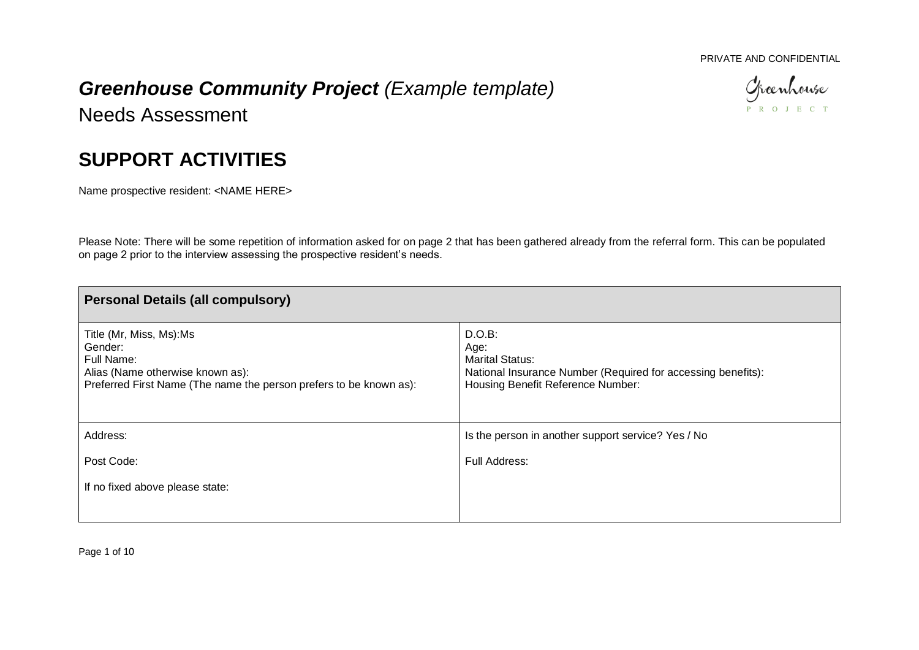## PRIVATE AND CONFIDENTIAL

Cheenhouse P R O J E C T

## *Greenhouse Community Project (Example template)*

Needs Assessment

## **SUPPORT ACTIVITIES**

Name prospective resident: <NAME HERE>

Please Note: There will be some repetition of information asked for on page 2 that has been gathered already from the referral form. This can be populated on page 2 prior to the interview assessing the prospective resident's needs.

| <b>Personal Details (all compulsory)</b>                                                                                                                   |                                                                                                                                               |
|------------------------------------------------------------------------------------------------------------------------------------------------------------|-----------------------------------------------------------------------------------------------------------------------------------------------|
| Title (Mr, Miss, Ms):Ms<br>Gender:<br>Full Name:<br>Alias (Name otherwise known as):<br>Preferred First Name (The name the person prefers to be known as): | D.O.B:<br>Age:<br><b>Marital Status:</b><br>National Insurance Number (Required for accessing benefits):<br>Housing Benefit Reference Number: |
| Address:                                                                                                                                                   | Is the person in another support service? Yes / No                                                                                            |
| Post Code:                                                                                                                                                 | Full Address:                                                                                                                                 |
| If no fixed above please state:                                                                                                                            |                                                                                                                                               |

Page 1 of 10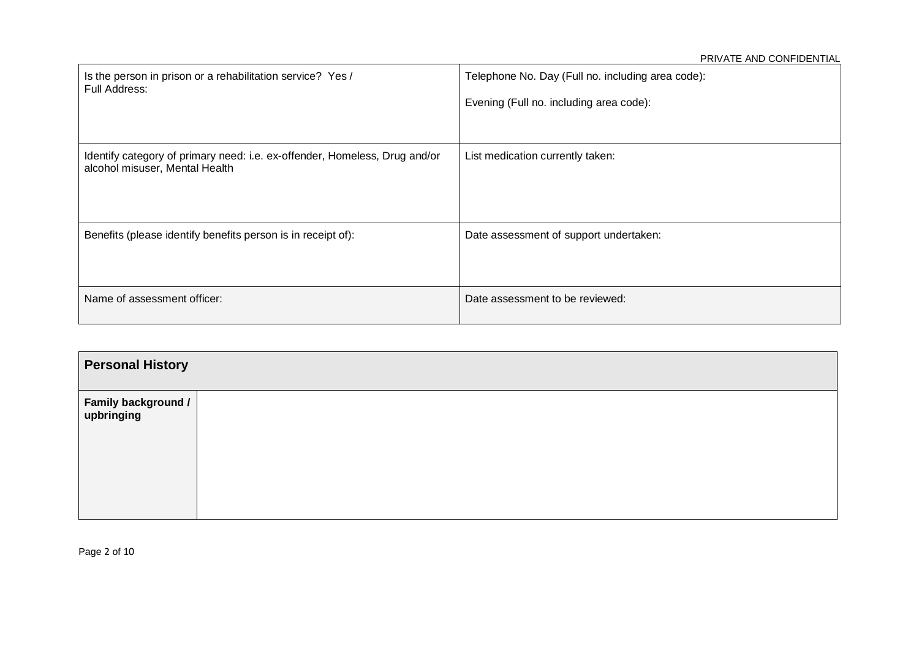| Is the person in prison or a rehabilitation service? Yes /<br>Full Address:                                  | Telephone No. Day (Full no. including area code):<br>Evening (Full no. including area code): |
|--------------------------------------------------------------------------------------------------------------|----------------------------------------------------------------------------------------------|
| Identify category of primary need: i.e. ex-offender, Homeless, Drug and/or<br>alcohol misuser, Mental Health | List medication currently taken:                                                             |
| Benefits (please identify benefits person is in receipt of):                                                 | Date assessment of support undertaken:                                                       |
| Name of assessment officer:                                                                                  | Date assessment to be reviewed:                                                              |

| <b>Personal History</b>                                                                                   |  |  |  |  |  |
|-----------------------------------------------------------------------------------------------------------|--|--|--|--|--|
| $\begin{array}{ l l }\hline \textbf{Family background } I & \\\textbf{upbringing} & \\\hline \end{array}$ |  |  |  |  |  |

Page 2 of 10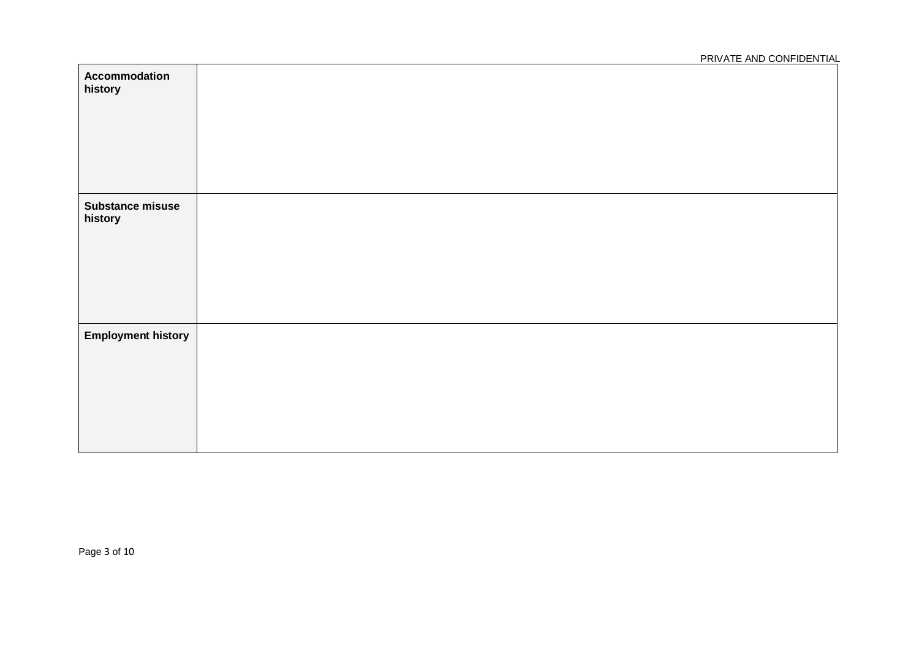| Accommodation<br>history           |  |
|------------------------------------|--|
| <b>Substance misuse</b><br>history |  |
| <b>Employment history</b>          |  |

Page 3 of 10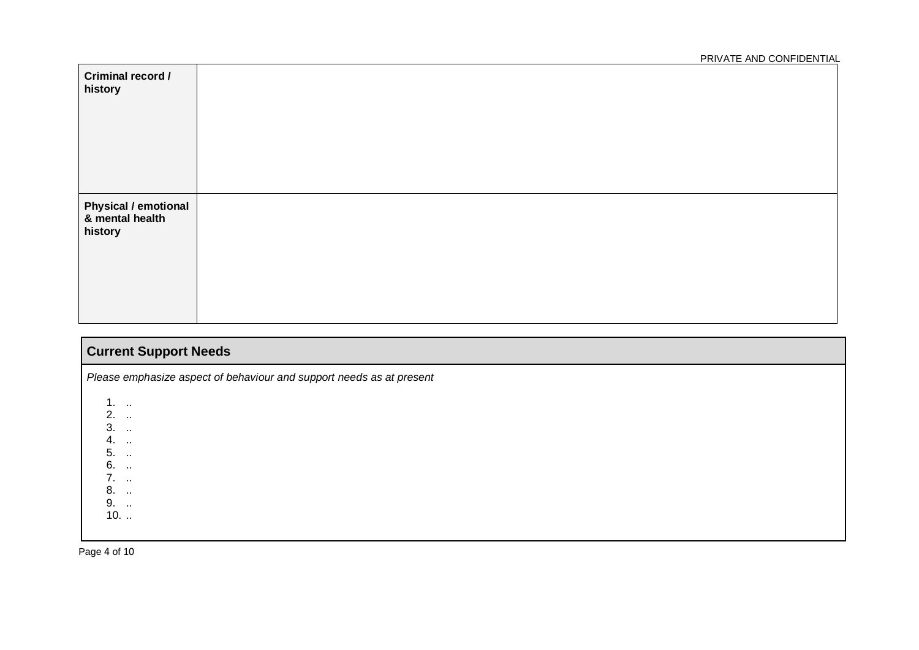| Criminal record /<br>history                              |  |
|-----------------------------------------------------------|--|
| <b>Physical / emotional</b><br>8 mental health<br>history |  |

| <b>Current Support Needs</b>                                                                                            |  |  |  |  |
|-------------------------------------------------------------------------------------------------------------------------|--|--|--|--|
| Please emphasize aspect of behaviour and support needs as at present                                                    |  |  |  |  |
| $1.$<br>$2.$<br>$3.$<br>4.<br>$\sim$<br>5.<br>$\sim 100$<br>6.<br>$\sim$<br>7.<br>8.<br>$\sim$ 100 $\mu$<br>9.<br>$10.$ |  |  |  |  |

Page 4 of 10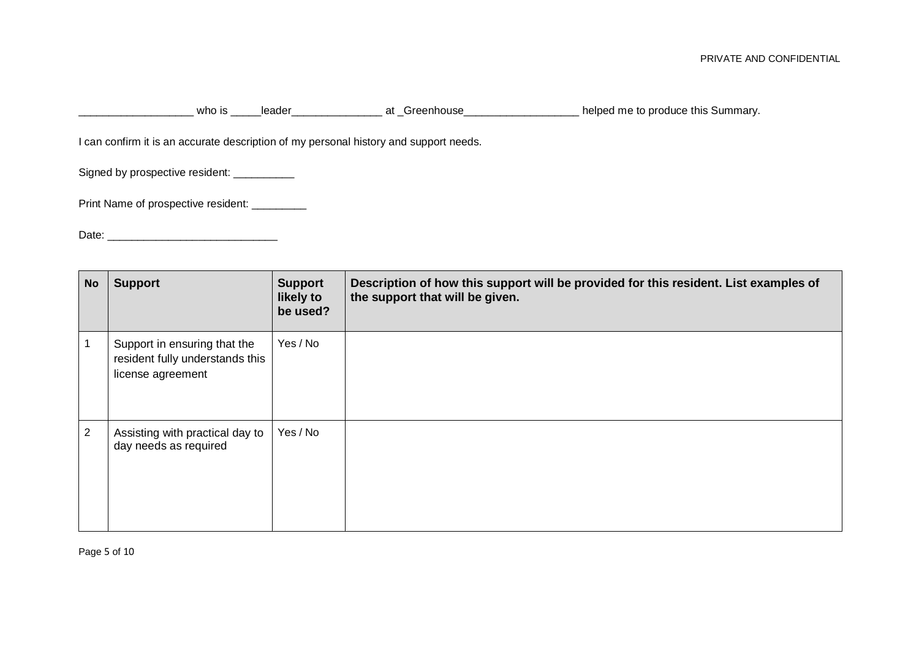LECTTING THE STATE THE RESERVING SCHOOL CONTROLLING TO A LOCTTING CONTROLLING TO A LOCTTING CONTROLLING TO A L<br>
The perfection of the produce this Summary.

I can confirm it is an accurate description of my personal history and support needs.

Signed by prospective resident: \_\_\_\_\_\_\_\_\_\_

Print Name of prospective resident: \_\_\_\_\_\_\_\_\_

Date: \_\_\_\_\_\_\_\_\_\_\_\_\_\_\_\_\_\_\_\_\_\_\_\_\_\_\_\_

| <b>No</b>      | <b>Support</b>                                                                       | <b>Support</b><br>likely to<br>be used? | Description of how this support will be provided for this resident. List examples of<br>the support that will be given. |
|----------------|--------------------------------------------------------------------------------------|-----------------------------------------|-------------------------------------------------------------------------------------------------------------------------|
| $\mathbf{1}$   | Support in ensuring that the<br>resident fully understands this<br>license agreement | Yes / No                                |                                                                                                                         |
| $\overline{2}$ | Assisting with practical day to<br>day needs as required                             | Yes / No                                |                                                                                                                         |

Page 5 of 10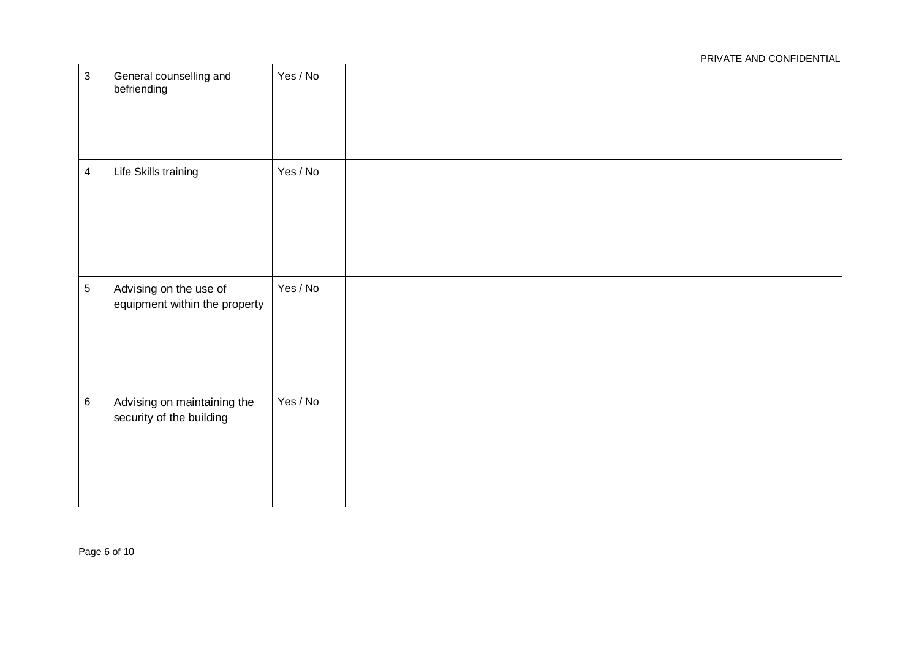## PRIVATE AND CONFIDENTIAL 3 General counselling and befriending Yes / No 4 | Life Skills training | Yes / No 5 Advising on the use of equipment within the property Yes / No 6 Advising on maintaining the security of the building Yes / No

Page 6 of 10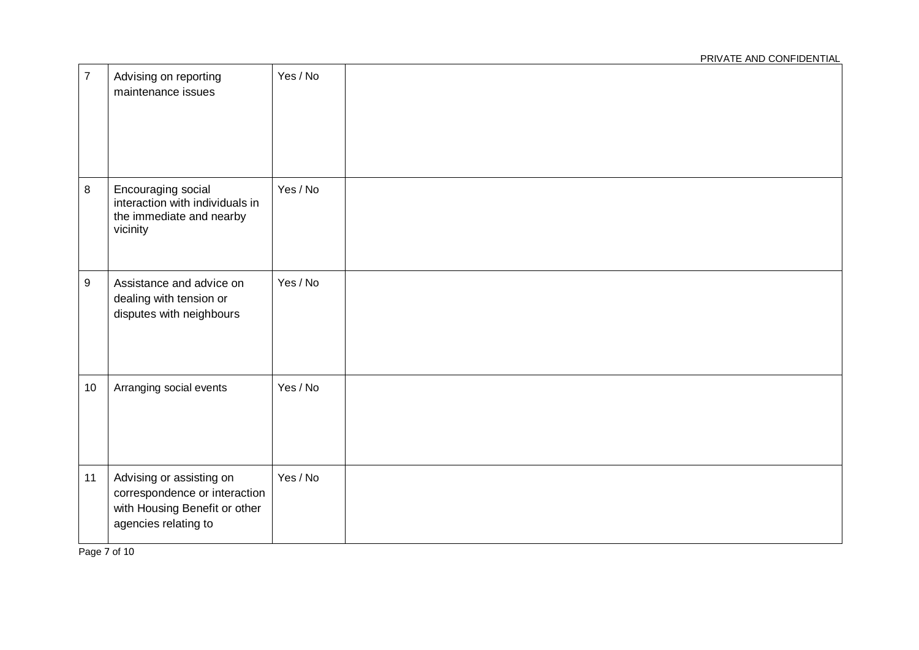| $\overline{7}$   | Advising on reporting<br>maintenance issues                                                                        | Yes / No |  |
|------------------|--------------------------------------------------------------------------------------------------------------------|----------|--|
| $\bf 8$          | Encouraging social<br>interaction with individuals in<br>the immediate and nearby<br>vicinity                      | Yes / No |  |
| $\boldsymbol{9}$ | Assistance and advice on<br>dealing with tension or<br>disputes with neighbours                                    | Yes / No |  |
| 10               | Arranging social events                                                                                            | Yes / No |  |
| 11               | Advising or assisting on<br>correspondence or interaction<br>with Housing Benefit or other<br>agencies relating to | Yes / No |  |

Page 7 of 10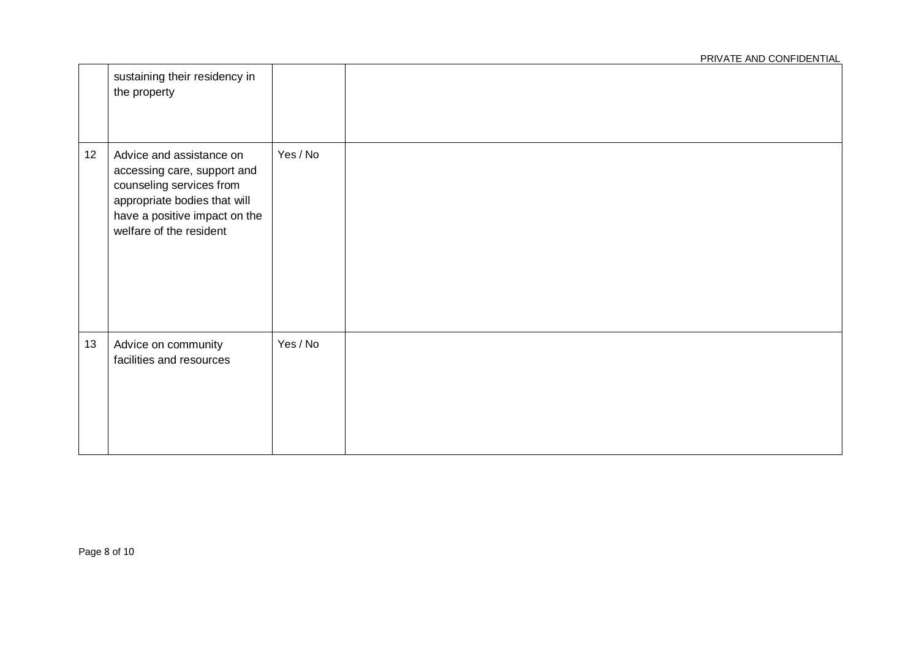|    | sustaining their residency in<br>the property                                                                                                                                   |          |  |
|----|---------------------------------------------------------------------------------------------------------------------------------------------------------------------------------|----------|--|
| 12 | Advice and assistance on<br>accessing care, support and<br>counseling services from<br>appropriate bodies that will<br>have a positive impact on the<br>welfare of the resident | Yes / No |  |
| 13 | Advice on community<br>facilities and resources                                                                                                                                 | Yes / No |  |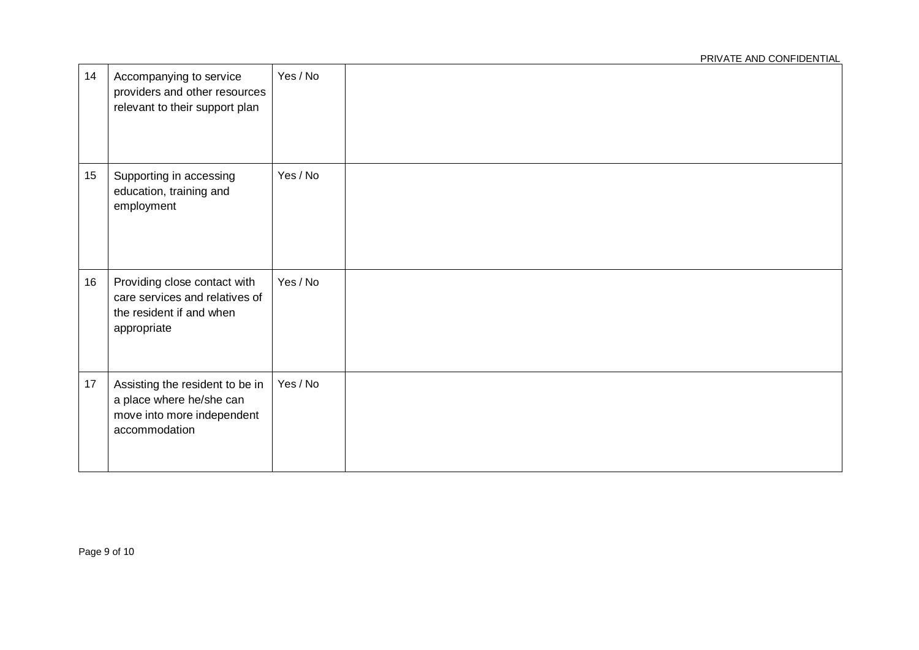| 14 | Accompanying to service<br>providers and other resources<br>relevant to their support plan                 | Yes / No |  |
|----|------------------------------------------------------------------------------------------------------------|----------|--|
| 15 | Supporting in accessing<br>education, training and<br>employment                                           | Yes / No |  |
| 16 | Providing close contact with<br>care services and relatives of<br>the resident if and when<br>appropriate  | Yes / No |  |
| 17 | Assisting the resident to be in<br>a place where he/she can<br>move into more independent<br>accommodation | Yes / No |  |